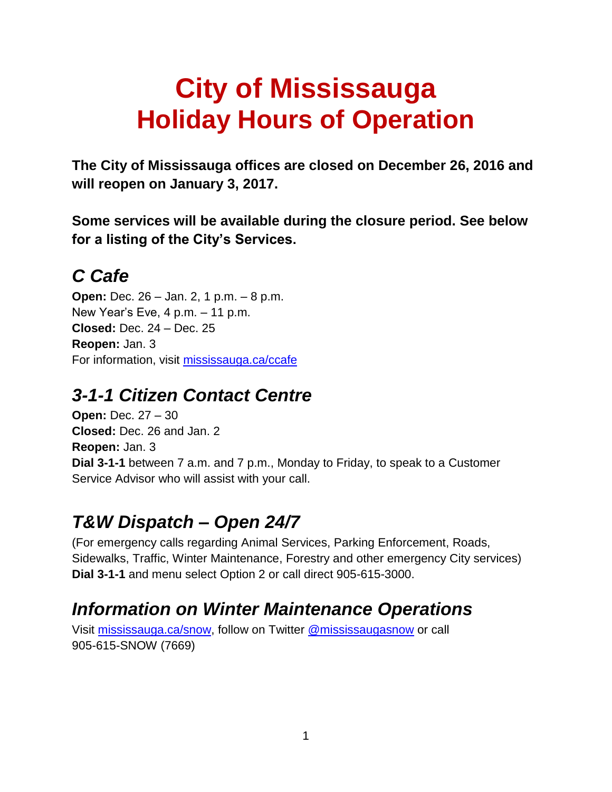# **City of Mississauga Holiday Hours of Operation**

**The City of Mississauga offices are closed on December 26, 2016 and will reopen on January 3, 2017.**

**Some services will be available during the closure period. See below for a listing of the City's Services.**

# *C Cafe*

**Open:** Dec. 26 – Jan. 2, 1 p.m. – 8 p.m. New Year's Eve, 4 p.m. – 11 p.m. **Closed:** Dec. 24 – Dec. 25 **Reopen:** Jan. 3 For information, visit [mississauga.ca/ccafe](http://www.mississauga.ca/ccafe)

### *3-1-1 Citizen Contact Centre*

**Open:** Dec. 27 – 30 **Closed:** Dec. 26 and Jan. 2 **Reopen:** Jan. 3 **Dial 3-1-1** between 7 a.m. and 7 p.m., Monday to Friday, to speak to a Customer Service Advisor who will assist with your call.

# *T&W Dispatch – Open 24/7*

(For emergency calls regarding Animal Services, Parking Enforcement, Roads, Sidewalks, Traffic, Winter Maintenance, Forestry and other emergency City services) **Dial 3-1-1** and menu select Option 2 or call direct 905-615-3000.

### *Information on Winter Maintenance Operations*

Visit [mississauga.ca/snow,](http://www.mississauga.ca/snow) follow on Twitter [@mississaugasnow](http://www.twitter.com/mississaugasnow) or call 905-615-SNOW (7669)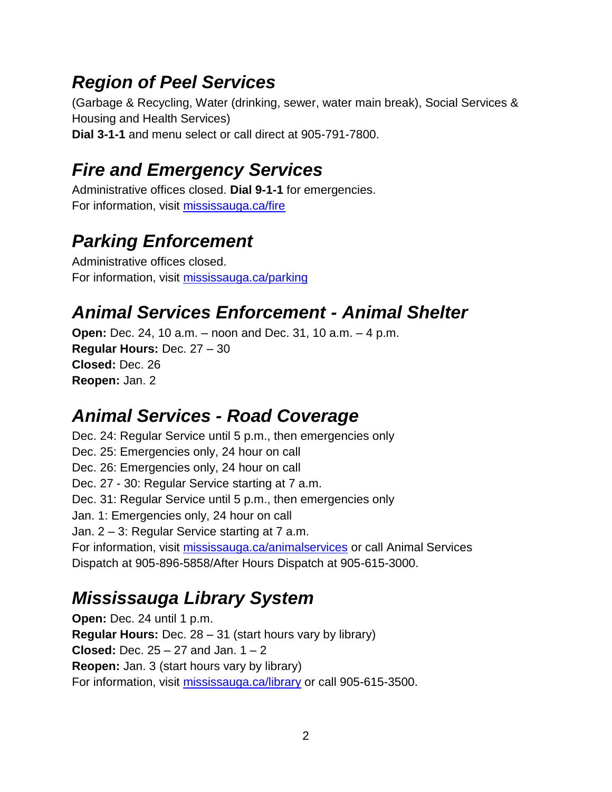### *Region of Peel Services*

(Garbage & Recycling, Water (drinking, sewer, water main break), Social Services & Housing and Health Services) **Dial 3-1-1** and menu select or call direct at 905-791-7800.

# *Fire and Emergency Services*

Administrative offices closed. **Dial 9-1-1** for emergencies. For information, visit [mississauga.ca/fire](http://www.mississauga.ca/fire)

# *Parking Enforcement*

Administrative offices closed. For information, visit [mississauga.ca/parking](http://www.mississauga.ca/parking)

## *Animal Services Enforcement - Animal Shelter*

**Open:** Dec. 24, 10 a.m. – noon and Dec. 31, 10 a.m. – 4 p.m. **Regular Hours:** Dec. 27 – 30 **Closed:** Dec. 26 **Reopen:** Jan. 2

### *Animal Services - Road Coverage*

Dec. 24: Regular Service until 5 p.m., then emergencies only Dec. 25: Emergencies only, 24 hour on call Dec. 26: Emergencies only, 24 hour on call Dec. 27 - 30: Regular Service starting at 7 a.m. Dec. 31: Regular Service until 5 p.m., then emergencies only Jan. 1: Emergencies only, 24 hour on call Jan. 2 – 3: Regular Service starting at 7 a.m. For information, visit [mississauga.ca/animalservices](http://www.mississauga.ca/animalservices) or call Animal Services Dispatch at 905-896-5858/After Hours Dispatch at 905-615-3000.

## *Mississauga Library System*

**Open:** Dec. 24 until 1 p.m. **Regular Hours:** Dec. 28 – 31 (start hours vary by library) **Closed:** Dec. 25 – 27 and Jan. 1 – 2 **Reopen:** Jan. 3 (start hours vary by library) For information, visit [mississauga.ca/library](http://www.mississauga.ca/library) or call 905-615-3500.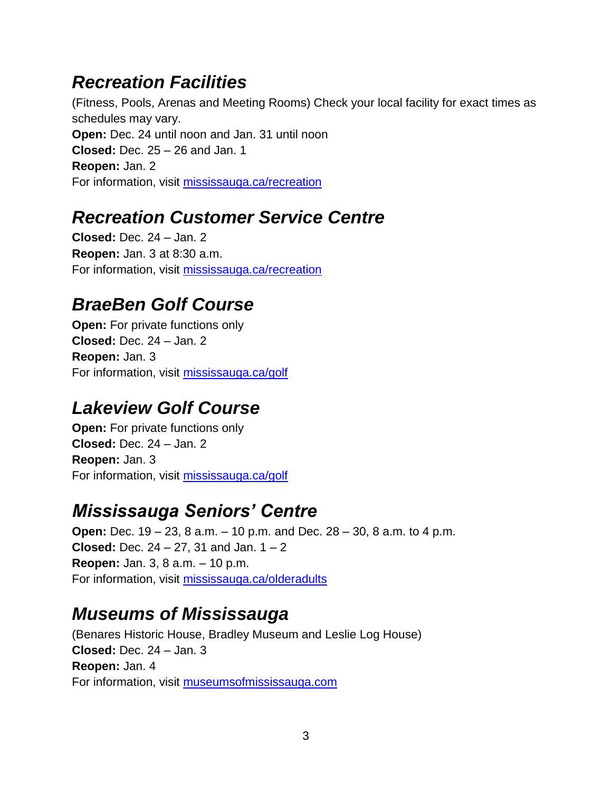### *Recreation Facilities*

(Fitness, Pools, Arenas and Meeting Rooms) Check your local facility for exact times as schedules may vary. **Open:** Dec. 24 until noon and Jan. 31 until noon **Closed:** Dec. 25 – 26 and Jan. 1 **Reopen:** Jan. 2 For information, visit [mississauga.ca/recreation](http://www.mississauga.ca/recreation)

## *Recreation Customer Service Centre*

**Closed:** Dec. 24 – Jan. 2 **Reopen:** Jan. 3 at 8:30 a.m. For information, visit [mississauga.ca/recreation](http://www.mississauga.ca/recreation)

# *BraeBen Golf Course*

**Open:** For private functions only **Closed:** Dec. 24 – Jan. 2 **Reopen:** Jan. 3 For information, visit [mississauga.ca/golf](http://www.mississauga.ca/golf)

# *Lakeview Golf Course*

**Open:** For private functions only **Closed:** Dec. 24 – Jan. 2 **Reopen:** Jan. 3 For information, visit [mississauga.ca/golf](http://www.mississauga.ca/golf)

## *Mississauga Seniors' Centre*

**Open:** Dec. 19 – 23, 8 a.m. – 10 p.m. and Dec. 28 – 30, 8 a.m. to 4 p.m. **Closed:** Dec. 24 – 27, 31 and Jan. 1 – 2 **Reopen:** Jan. 3, 8 a.m. – 10 p.m. For information, visit [mississauga.ca/olderadults](http://www.mississauga.ca/olderadults)

### *Museums of Mississauga*

(Benares Historic House, Bradley Museum and Leslie Log House) **Closed:** Dec. 24 – Jan. 3 **Reopen:** Jan. 4 For information, visit [museumsofmississauga.com](http://www.museumsofmississauga.com/)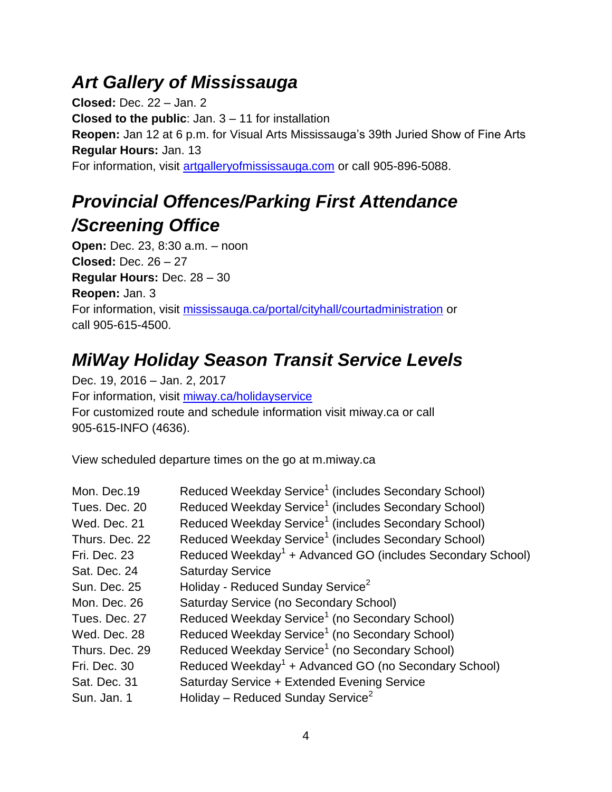### *Art Gallery of Mississauga*

**Closed:** Dec. 22 – Jan. 2 **Closed to the public**: Jan. 3 – 11 for installation **Reopen:** Jan 12 at 6 p.m. for Visual Arts Mississauga's 39th Juried Show of Fine Arts **Regular Hours:** Jan. 13 For information, visit [artgalleryofmississauga.com](http://www.artgalleryofmississauga.com/) or call 905-896-5088.

# *Provincial Offences/Parking First Attendance /Screening Office*

**Open:** Dec. 23, 8:30 a.m. – noon **Closed:** Dec. 26 – 27 **Regular Hours:** Dec. 28 – 30 **Reopen:** Jan. 3 For information, visit [mississauga.ca/portal/cityhall/courtadministration](http://www.mississauga.ca/portal/cityhall/courtadministration) or call 905-615-4500.

## *MiWay Holiday Season Transit Service Levels*

Dec. 19, 2016 – Jan. 2, 2017 For information, visit [miway.ca/holidayservice](http://www.miway.ca/holidayservice) For customized route and schedule information visit miway.ca or call 905-615-INFO (4636).

View scheduled departure times on the go at m.miway.ca

| Mon. Dec.19         | Reduced Weekday Service <sup>1</sup> (includes Secondary School)       |
|---------------------|------------------------------------------------------------------------|
| Tues. Dec. 20       | Reduced Weekday Service <sup>1</sup> (includes Secondary School)       |
| Wed. Dec. 21        | Reduced Weekday Service <sup>1</sup> (includes Secondary School)       |
| Thurs. Dec. 22      | Reduced Weekday Service <sup>1</sup> (includes Secondary School)       |
| Fri. Dec. 23        | Reduced Weekday <sup>1</sup> + Advanced GO (includes Secondary School) |
| Sat. Dec. 24        | <b>Saturday Service</b>                                                |
| <b>Sun. Dec. 25</b> | Holiday - Reduced Sunday Service <sup>2</sup>                          |
| Mon. Dec. 26        | Saturday Service (no Secondary School)                                 |
| Tues. Dec. 27       | Reduced Weekday Service <sup>1</sup> (no Secondary School)             |
| Wed. Dec. 28        | Reduced Weekday Service <sup>1</sup> (no Secondary School)             |
| Thurs. Dec. 29      | Reduced Weekday Service <sup>1</sup> (no Secondary School)             |
| Fri. Dec. 30        | Reduced Weekday <sup>1</sup> + Advanced GO (no Secondary School)       |
| Sat. Dec. 31        | Saturday Service + Extended Evening Service                            |
| Sun. Jan. 1         | Holiday – Reduced Sunday Service <sup>2</sup>                          |